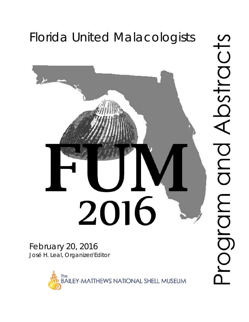# Florida United Malacologists



February 20, 2016 José H. Leal, Organizer/Editor

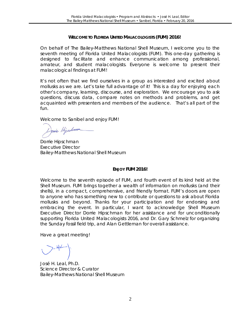#### **WELCOME TO FLORIDA UNITED MALACOLOGISTS (FUM) 2016!**

On behalf of The Bailey-Matthews National Shell Museum, I welcome you to the seventh meeting of Florida United Malacologists (FUM). This one-day gathering is designed to facilitate and enhance communication among professional, amateur, and student malacologists. Everyone is welcome to present their malacological findings at FUM!

It's not often that we find ourselves in a group as interested and excited about mollusks as we are. Let's take full advantage of it! This is a day for enjoying each other's company, learning, discourse, and exploration. We encourage you to ask questions, discuss data, compare notes on methods and problems, and get acquainted with presenters and members of the audience. That's all part of the fun.

Welcome to Sanibel and enjoy FUM!

Donie Hipschma

Dorrie Hipschman Executive Director Bailey-Matthews National Shell Museum

#### **ENJOY FUM 2016!**

Welcome to the seventh episode of FUM, and fourth event of its kind held at the Shell Museum. FUM brings together a wealth of information on mollusks (and their shells), in a compact, comprehensive, and friendly format. FUM's doors are open to anyone who has something new to contribute or questions to ask about Florida mollusks and beyond. Thanks for your participation and for endorsing and embracing the event. In particular, I want to acknowledge Shell Museum Executive Director Dorrie Hipschman for her assistance and for unconditionally supporting Florida United Malacologists 2016, and Dr. Gary Schmelz for organizing the Sunday fossil field trip, and Alan Gettleman for overall assistance.

Have a great meeting!

José H. Leal, Ph.D. Science Director & Curator Bailey-Mathews National Shell Museum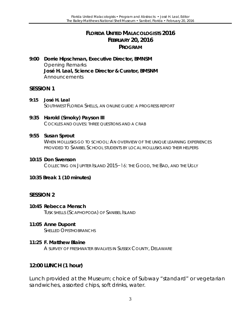# **FLORIDA UNITED MALACOLOGISTS 2016 FEBRUARY 20, 2016 PROGRAM**

**9:00 Dorrie Hipschman, Executive Director, BMNSM** Opening Remarks **José H. Leal, Science Director & Curator, BMSNM** Announcements

#### **SESSION 1**

- **9:15 José H. Leal** SOUTHWEST FLORIDA SHELLS, AN ONLINE GUIDE: A PROGRESS REPORT
- **9:35 Harold (Smoky) Payson III** COCKLES AND OLIVES: THREE QUESTIONS AND A CRAB

#### **9:55 Susan Sprout**

WHEN MOLLUSKS GO TO SCHOOL: AN OVERVIEW OF THE UNIQUE LEARNING EXPERIENCES PROVIDED TO SANIBEL SCHOOL STUDENTS BY LOCAL MOLLUSKS AND THEIR HELPERS

#### **10:15 Don Swenson**

COLLECTING ON JUPITER ISLAND 2015−16: THE GOOD, THE BAD, AND THE UGLY

#### **10:35 Break 1 (10 minutes)**

#### **SESSION 2**

- **10:45 Rebecca Mensch** TUSK SHELLS (SCAPHOPODA) OF SANIBEL ISLAND
- **11:05 Anne Dupont** SHELLED OPISTHOBRANCHS

# **11:25 F. Matthew Blaine**

A SURVEY OF FRESHWATER BIVALVES IN SUSSEX COUNTY, DELAWARE

# **12:00 LUNCH (1 hour)**

Lunch provided at the Museum; choice of Subway "standard" or vegetarian sandwiches, assorted chips, soft drinks, water.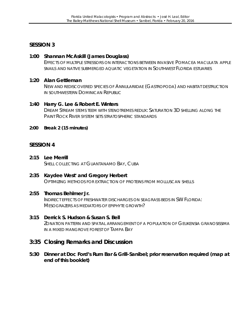# **SESSION 3**

#### **1:00 Shannan McAskill (James Douglass)**

EFFECTS OF MULTIPLE STRESSORS ON INTERACTIONS BETWEEN INVASIVE *POMACEA MACULATA* APPLE SNAILS AND NATIVE SUBMERGED AQUATIC VEGETATION IN SOUTHWEST FLORIDA ESTUARIES

#### **1:20 Alan Gettleman**

NEW AND REDISCOVERED SPECIES OF ANNULARIIDAE (GASTROPODA) AND HABITAT DESTRUCTION IN SOUTHWESTERN DOMINICAN REPUBLIC

#### **1:40 Harry G. Lee & Robert E. Winters**

DREAM STREAM STEMS TEEM WITH STENOTREMES REDUX: SATURATION 3D SHELLING ALONG THE PAINT ROCK RIVER SYSTEM SETS STRATOSPHERIC STANDARDS

**2:00 Break 2 (15 minutes)**

## **SESSION 4**

- **2:15 Lee Merrill** SHELL COLLECTING AT GUANTANAMO BAY, CUBA
- **2:35 Kaydee West\* and Gregory Herbert** OPTIMIZING METHODS FOR EXTRACTION OF PROTEINS FROM MOLLUSCAN SHELLS

#### **2:55 Thomas Behlmer Jr.**

INDIRECT EFFECTS OF FRESHWATER DISCHARGES ON SEAGRASS BEDS IN SW FLORIDA: MESOGRAZERS AS MEDIATORS OF EPIPHYTE GROWTH?

**3:15 Derrick S. Hudson & Susan S. Bell** ZONATION PATTERN AND SPATIAL ARRANGEMENT OF A POPULATION OF *GEUKENSIA GRANOSISSIMA*  IN A MIXED MANGROVE FOREST OF TAMPA BAY

# **3:35 Closing Remarks and Discussion**

**5:30 Dinner at Doc Ford's Rum Bar & Grill-Sanibel; prior reservation required (map at end of this booklet)**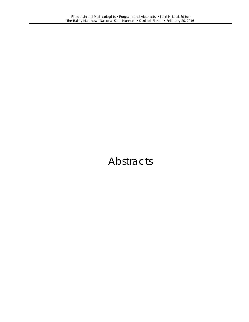# Abstracts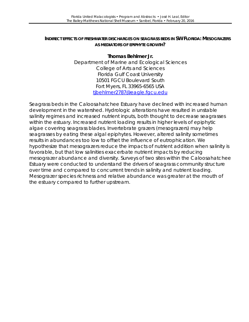#### **INDIRECT EFFECTS OF FRESHWATER DISCHARGES ON SEAGRASS BEDS IN SW FLORIDA: MESOGRAZERS AS MEDIATORS OF EPIPHYTE GROWTH?**

#### **Thomas Behlmer Jr.** Department of Marine and Ecological Sciences College of Arts and Sciences Florida Gulf Coast University 10501 FGCU Boulevard South Fort Myers, FL 33965-6565 USA [tjbehlmer2787@eagle.fgcu.edu](mailto:tjbehlmer2787@eagle.fgcu.edu)

Seagrass beds in the Caloosahatchee Estuary have declined with increased human development in the watershed. Hydrologic alterations have resulted in unstable salinity regimes and increased nutrient inputs, both thought to decrease seagrasses within the estuary. Increased nutrient loading results in higher levels of epiphytic algae covering seagrass blades. Invertebrate grazers (mesograzers) may help seagrasses by eating these algal epiphytes. However, altered salinity sometimes results in abundances too low to offset the influence of eutrophication. We hypothesize that mesograzers reduce the impacts of nutrient addition when salinity is favorable, but that low salinities exacerbate nutrient impacts by reducing mesograzer abundance and diversity. Surveys of two sites within the Caloosahatchee Estuary were conducted to understand the drivers of seagrass community structure over time and compared to concurrent trends in salinity and nutrient loading. Mesograzer species richness and relative abundance was greater at the mouth of the estuary compared to further upstream.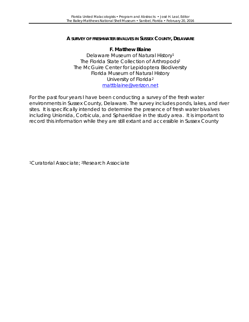#### **A SURVEY OF FRESHWATER BIVALVES IN SUSSEX COUNTY, DELAWARE**

#### **F. Matthew Blaine**

Delaware Museum of Natural History1 The Florida State Collection of Arthropods2 The McGuire Center for Lepidoptera Biodiversity Florida Museum of Natural History University of Florida2 [mattblaine@verizon.net](mailto:mattblaine@verizon.net)

For the past four years I have been conducting a survey of the fresh water environments in Sussex County, Delaware. The survey includes ponds, lakes, and river sites. It is specifically intended to determine the presence of fresh water bivalves including Unionida, Corbicula, and Sphaeriidae in the study area. It is important to record this information while they are still extant and accessible in Sussex County

1Curatorial Associate; 2Research Associate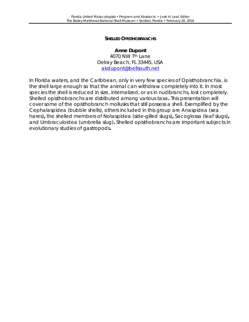#### **SHELLED OPISTHOBRANCHS**

**Anne Dupont** 4070 NW 7th Lane Delray Beach, FL 33445, USA [akdupont@bellsouth.net](mailto:akdupont@bellsouth.net)

In Florida waters, and the Caribbean, only in very few species of Opisthobranchia, is the shell large enough so that the animal can withdraw completely into it. In most species the shell is reduced in size, internalized, or as in nudibranchs, lost completely. Shelled opisthobranchs are distributed among various taxa**.** This presentation will cover some of the opisthobranch mollusks that still possess a shell. Exemplified by the Cephalaspidea (bubble shells), others included in this group are Anaspidea (sea hares)**,** the shelled members of Notaspidea (side-gilled slugs)**,** Sacoglossa (leaf slugs)**,** and Umbraculoidea (umbrella slug)**.** Shelled opisthobranchs are important subjects in evolutionary studies of gastropods**.**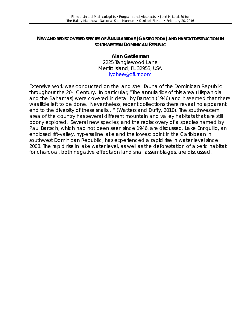#### **NEW AND REDISCOVERED SPECIES OF ANNULARIIDAE (GASTROPODA) AND HABITAT DESTRUCTION IN SOUTHWESTERN DOMINICAN REPUBLIC**

**Alan Gettleman** 2225 Tanglewood Lane Merritt Island, FL 32953, USA [lychee@cfl.rr.com](mailto:lychee@cfl.rr.com)

Extensive work was conducted on the land shell fauna of the Dominican Republic throughout the 20<sup>th</sup> Century. In particular, "The annulariids of this area (Hispaniola and the Bahamas) were covered in detail by Bartsch (1946) and it seemed that there was little left to be done. Nevertheless, recent collections there reveal no apparent end to the diversity of these snails…" (Watters and Duffy, 2010). The southwestern area of the country has several different mountain and valley habitats that are still poorly explored. Several new species, and the rediscovery of a species named by Paul Bartsch, which had not been seen since 1946, are discussed. Lake Enriquillo, an enclosed rift-valley, hypersaline lake and the lowest point in the Caribbean in southwest Dominican Republic, has experienced a rapid rise in water level since 2008. The rapid rise in lake water level, as well as the deforestation of a xeric habitat for charcoal, both negative effects on land snail assemblages, are discussed.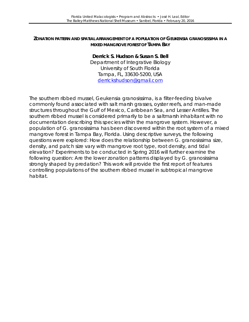#### **ZONATION PATTERN AND SPATIAL ARRANGEMENT OF A POPULATION OF** *GEUKENSIA GRANOSISSIMA* **IN A MIXED MANGROVE FOREST OF TAMPA BAY**

#### **Derrick S. Hudson & Susan S. Bell**

Department of Integrative Biology University of South Florida Tampa, FL, 33630-5200, USA [derrickshudson@gmail.com](mailto:derrickshudson@gmail.com)

The southern ribbed mussel, *Geukensia granosissima,* is a filter-feeding bivalve commonly found associated with salt marsh grasses, oyster reefs, and man-made structures throughout the Gulf of Mexico, Caribbean Sea, and Lesser Antilles. The southern ribbed mussel is considered primarily to be a saltmarsh inhabitant with no documentation describing this species within the mangrove system. However, a population of *G. granosissima* has been discovered within the root system of a mixed mangrove forest in Tampa Bay, Florida. Using descriptive surveys, the following questions were explored: How does the relationship between *G. granosissima* size, density, and patch size vary with mangrove root type, root density, and tidal elevation? Experiments to be conducted in Spring 2016 will further examine the following question: Are the lower zonation patterns displayed by *G. granosissima* strongly shaped by predation? This work will provide the first report of features controlling populations of the southern ribbed mussel in subtropical mangrove habitat.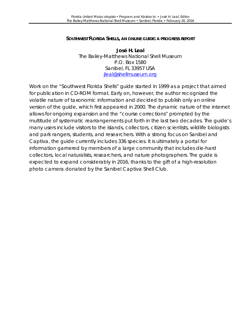#### **SOUTHWEST FLORIDA SHELLS, AN ONLINE GUIDE: A PROGRESS REPORT**

**José H. Leal** The Bailey-Matthews National Shell Museum P.O. Box 1580 Sanibel, FL 33957 USA [jleal@shellmuseum.org](mailto:jleal@shellmuseum.org)

Work on the "Southwest Florida Shells" guide started in 1999 as a project that aimed for publication in CD-ROM format. Early on, however, the author recognized the volatile nature of taxonomic information and decided to publish only an online version of the guide, which first appeared in 2000. The dynamic nature of the internet allows for ongoing expansion and the "course corrections" prompted by the multitude of systematic rearrangements put forth in the last two decades. The guide's many users include visitors to the islands, collectors, citizen scientists, wildlife biologists and park rangers, students, and researchers. With a strong focus on Sanibel and Captiva, the guide currently includes 336 species. It is ultimately a portal for information garnered by members of a large community that includes die-hard collectors, local naturalists, researchers, and nature photographers. The guide is expected to expand considerably in 2016, thanks to the gift of a high-resolution photo camera donated by the Sanibel Captiva Shell Club.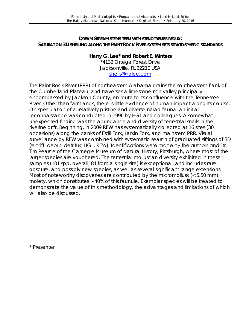#### **DREAM STREAM STEMS TEEM WITH STENOTREMES REDUX: SATURATION 3D SHELLING ALONG THE PAINT ROCK RIVER SYSTEM SETS STRATOSPHERIC STANDARDS**

**Harry G. Lee\* and Robert E. Winters** \*4132 Ortega Forest Drive Jacksonville, FL 32210 USA [shells@hglee.com](mailto:shells@hglee.com)

The Paint Rock River (PRR) of northeastern Alabama drains the southeastern flank of the Cumberland Plateau, and traverses a limestone-rich valley principally encompassed by Jackson County, *en route* to its confluence with the Tennessee River. Other than farmlands, there is little evidence of human impact along its course. On speculation of a relatively pristine and diverse naiad fauna, an initial reconnaissance was conducted in 1996 by HGL and colleagues. A somewhat unexpected finding was the abundance and diversity of terrestrial snails in the riverine drift. Beginning, in 2009 REW has systematically collected at 16 sites (30 occasions) along the banks of Estill Fork, Larkin Fork, and mainstem PRR. Visual surveillance by REW was combined with systematic search of graduated siftings of 3D (≡ drift, debris, detritus; HGL, REW). Identifications were made by the authors and Dr. Tim Pearce of the Carnegie Museum of Natural History, Pittsburgh, where most of the larger species are vouchered. The terrestrial molluscan diversity exhibited in these samples (101 spp. overall; 84 from a single site) is exceptional, and includes rare, obscure, and possibly new species, as well as several significant range extensions. Most of noteworthy discoveries are contributed by the micromollusk (< 5.50 mm), moiety, which constitutes ~ 40% of this faunule. Exemplar species will be treated to demonstrate the value of this methodology, the advantages and limitations of which will also be discussed.

\* Presenter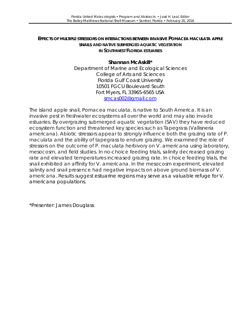#### **EFFECTS OF MULTIPLE STRESSORS ON INTERACTIONS BETWEEN INVASIVE** *POMACEA MACULATA* **APPLE SNAILS AND NATIVE SUBMERGED AQUATIC VEGETATION IN SOUTHWEST FLORIDA ESTUARIES**

**Shannan McAskill\*** Department of Marine and Ecological Sciences College of Arts and Sciences Florida Gulf Coast University 10501 FGCU Boulevard South Fort Myers, FL 33965-6565 USA [smcas002@gmail.com](mailto:smcas002@gmail.com)

The island apple snail, *Pomacea maculata*, is native to South America. It is an invasive pest in freshwater ecosystems all over the world and may also invade estuaries. By overgrazing submerged aquatic vegetation (SAV) they have reduced ecosystem function and threatened key species such as Tapegrass (*Vallisneria americana*). Abiotic stressors appear to strongly influence both the grazing rate of *P. maculata* and the ability of tapegrass to endure grazing. We examined the role of stressors on the outcome of *P. maculata* herbivory on *V. americana* using laboratory, mesocosm, and field studies. In no-choice feeding trials, salinity decreased grazing rate and elevated temperatures increased grazing rate. In choice feeding trials, the snail exhibited an affinity for *V. americana*. In the mesocosm experiment, elevated salinity and snail presence had negative impacts on above ground biomass of *V. americana*. Results suggest estuarine regions may serve as a valuable refuge for *V. americana* populations.

\*Presenter: James Douglass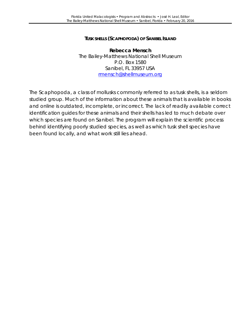## **TUSK SHELLS (SCAPHOPODA) OF SANIBEL ISLAND**

**Rebecca Mensch** The Bailey-Matthews National Shell Museum P.O. Box 1580 Sanibel, FL 33957 USA [rmensch@shellmuseum.org](mailto:rmensch@shellmuseum.org)

The Scaphopoda, a class of mollusks commonly referred to as tusk shells, is a seldom studied group. Much of the information about these animals that is available in books and online is outdated, incomplete, or incorrect. The lack of readily available correct identification guides for these animals and their shells has led to much debate over which species are found on Sanibel. The program will explain the scientific process behind identifying poorly studied species, as well as which tusk shell species have been found locally, and what work still lies ahead.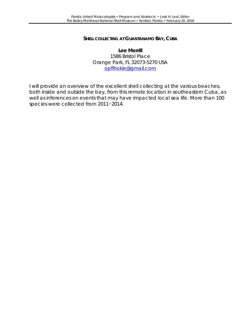#### **SHELL COLLECTING AT GUANTANAMO BAY, CUBA**

**Lee Merrill** 1586 Bristol Place Orange Park, FL 32073-5270 USA [opflhokie@gmail.com](mailto:opflhokie@gmail.com)

I will provide an overview of the excellent shell collecting at the various beaches, both inside and outside the bay, from this remote location in southeastern Cuba, as well as inferences on events that may have impacted local sea life. More than 100 species were collected from 2011−2014.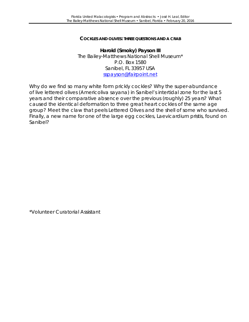#### **COCKLES AND OLIVES: THREE QUESTIONS AND A CRAB**

**Harold (Smoky) Payson III** The Bailey-Matthews National Shell Museum\* P.O. Box 1580 Sanibel, FL 33957 USA [sspayson@fairpoint.net](mailto:sspayson@fairpoint.net)

Why do we find so many white form prickly cockles? Why the super-abundance of live lettered olives (*Americoliva sayana*) in Sanibel's intertidal zone for the last 5 years and their comparative absence over the previous (roughly) 25 years? What caused the identical deformation to three great heart cockles of the same age group? Meet the claw that peels Lettered Olives and the shell of some who survived. Finally, a new name for one of the large egg cockles, *Laevicardium pristis*, found on Sanibel?

\*Volunteer Curatorial Assistant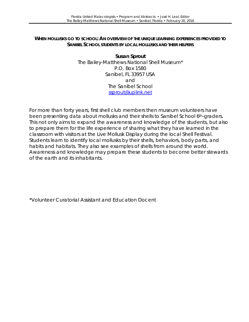#### **WHEN MOLLUSKS GO TO SCHOOL: AN OVERVIEW OF THE UNIQUE LEARNING EXPERIENCES PROVIDED TO SANIBEL SCHOOL STUDENTS BY LOCAL MOLLUSKS AND THEIR HELPERS**

**Susan Sprout** The Bailey-Matthews National Shell Museum\* P.O. Box 1580 Sanibel, FL 33957 USA and The Sanibel School [ssprout@uplink.net](mailto:ssprout@uplink.net)

For more than forty years, first shell club members then museum volunteers have been presenting data about mollusks and their shells to Sanibel School 6th-graders. This not only aims to expand the awareness and knowledge of the students, but also to prepare them for the life experience of sharing what they have learned in the classroom with visitors at the Live Mollusk Display during the local Shell Festival. Students learn to identify local mollusks by their shells, behaviors, body parts, and habits and habitats. They also see examples of shells from around the world. Awareness and knowledge may prepare these students to become better stewards of the earth and its inhabitants.

\*Volunteer Curatorial Assistant and Education Docent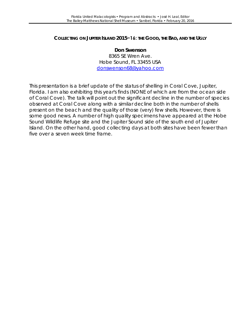#### **COLLECTING ON JUPITER ISLAND 2015−16: THE GOOD, THE BAD, AND THE UGLY**

**Don Swenson** 8365 SE Wren Ave. Hobe Sound, FL 33455 USA [donswenson68@yahoo.com](mailto:donswenson68@yahoo.com)

This presentation is a brief update of the status of shelling in Coral Cove, Jupiter, Florida. I am also exhibiting this year's finds (NONE of which are from the ocean side of Coral Cove). The talk will point out the significant decline in the number of species observed at Coral Cove along with a similar decline both in the number of shells present on the beach and the quality of those (very) few shells. However, there is some good news. A number of high quality specimens have appeared at the Hobe Sound Wildlife Refuge site and the Jupiter Sound side of the south end of Jupiter Island. On the other hand, good collecting days at both sites have been fewer than five over a seven week time frame.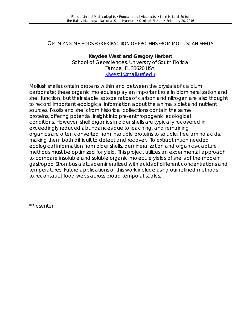OPTIMIZING METHODS FOR EXTRACTION OF PROTEINS FROM MOLLUSCAN SHELLS

**Kaydee West\* and Gregory Herbert** School of Geosciences, University of South Florida Tampa, FL 33620 USA [Kjwest1@mail.usf.edu](mailto:Kjwest1@mail.usf.edu)

Mollusk shells contain proteins within and between the crystals of calcium carbonate; these organic molecules play an important role in biomineralization and shell function, but their stable isotope ratios of carbon and nitrogen are also thought to record important ecological information about the animal's diet and nutrient sources. Fossils and shells from historical collections contain the same proteins, offering potential insight into pre-anthropogenic ecological conditions. However, shell organics in older shells are typically recovered in exceedingly reduced abundances due to leaching, and remaining organics are often converted from insoluble proteins to soluble, free amino acids, making them both difficult to detect and recover. To extract much needed ecological information from older shells, demineralization and organics-capture methods must be optimized for yield. This project utilizes an experimental approach to compare insoluble and soluble organic molecule yields of shells of the modern gastropod *Strombus alatus* demineralized with acids of different concentrations and temperatures. Future applications of this work include using our refined methods to reconstruct food webs across broad temporal scales.

\*Presenter